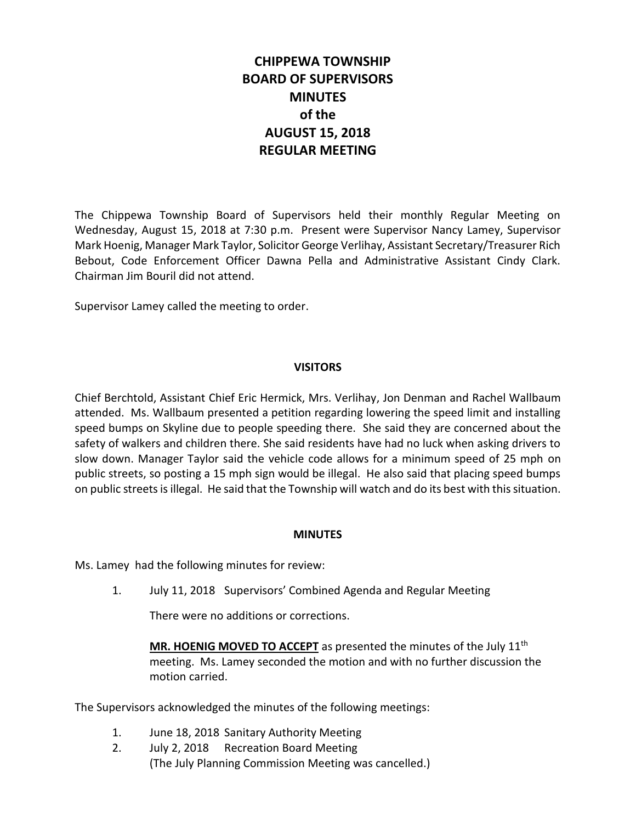# **CHIPPEWA TOWNSHIP BOARD OF SUPERVISORS MINUTES of the AUGUST 15, 2018 REGULAR MEETING**

The Chippewa Township Board of Supervisors held their monthly Regular Meeting on Wednesday, August 15, 2018 at 7:30 p.m. Present were Supervisor Nancy Lamey, Supervisor Mark Hoenig, Manager Mark Taylor, Solicitor George Verlihay, Assistant Secretary/Treasurer Rich Bebout, Code Enforcement Officer Dawna Pella and Administrative Assistant Cindy Clark. Chairman Jim Bouril did not attend.

Supervisor Lamey called the meeting to order.

# **VISITORS**

Chief Berchtold, Assistant Chief Eric Hermick, Mrs. Verlihay, Jon Denman and Rachel Wallbaum attended. Ms. Wallbaum presented a petition regarding lowering the speed limit and installing speed bumps on Skyline due to people speeding there. She said they are concerned about the safety of walkers and children there. She said residents have had no luck when asking drivers to slow down. Manager Taylor said the vehicle code allows for a minimum speed of 25 mph on public streets, so posting a 15 mph sign would be illegal. He also said that placing speed bumps on public streets is illegal. He said that the Township will watch and do its best with this situation.

# **MINUTES**

Ms. Lamey had the following minutes for review:

1. July 11, 2018 Supervisors' Combined Agenda and Regular Meeting

There were no additions or corrections.

MR. HOENIG MOVED TO ACCEPT as presented the minutes of the July 11<sup>th</sup> meeting. Ms. Lamey seconded the motion and with no further discussion the motion carried.

The Supervisors acknowledged the minutes of the following meetings:

- 1. June 18, 2018 Sanitary Authority Meeting
- 2. July 2, 2018 Recreation Board Meeting (The July Planning Commission Meeting was cancelled.)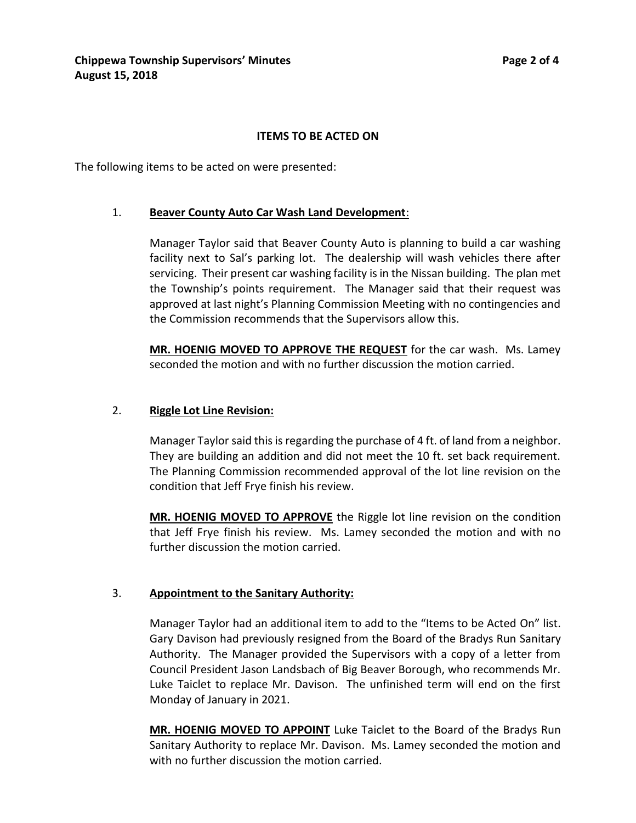# **ITEMS TO BE ACTED ON**

The following items to be acted on were presented:

# 1. **Beaver County Auto Car Wash Land Development**:

Manager Taylor said that Beaver County Auto is planning to build a car washing facility next to Sal's parking lot. The dealership will wash vehicles there after servicing. Their present car washing facility is in the Nissan building. The plan met the Township's points requirement. The Manager said that their request was approved at last night's Planning Commission Meeting with no contingencies and the Commission recommends that the Supervisors allow this.

**MR. HOENIG MOVED TO APPROVE THE REQUEST** for the car wash. Ms. Lamey seconded the motion and with no further discussion the motion carried.

### 2. **Riggle Lot Line Revision:**

Manager Taylor said this is regarding the purchase of 4 ft. of land from a neighbor. They are building an addition and did not meet the 10 ft. set back requirement. The Planning Commission recommended approval of the lot line revision on the condition that Jeff Frye finish his review.

**MR. HOENIG MOVED TO APPROVE** the Riggle lot line revision on the condition that Jeff Frye finish his review. Ms. Lamey seconded the motion and with no further discussion the motion carried.

# 3. **Appointment to the Sanitary Authority:**

Manager Taylor had an additional item to add to the "Items to be Acted On" list. Gary Davison had previously resigned from the Board of the Bradys Run Sanitary Authority. The Manager provided the Supervisors with a copy of a letter from Council President Jason Landsbach of Big Beaver Borough, who recommends Mr. Luke Taiclet to replace Mr. Davison. The unfinished term will end on the first Monday of January in 2021.

**MR. HOENIG MOVED TO APPOINT** Luke Taiclet to the Board of the Bradys Run Sanitary Authority to replace Mr. Davison. Ms. Lamey seconded the motion and with no further discussion the motion carried.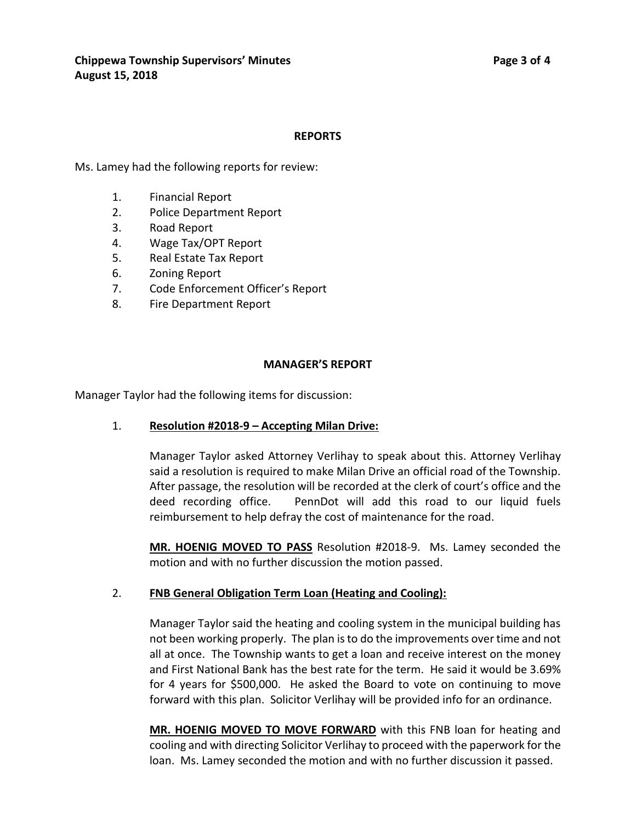#### **REPORTS**

Ms. Lamey had the following reports for review:

- 1. Financial Report
- 2. Police Department Report
- 3. Road Report
- 4. Wage Tax/OPT Report
- 5. Real Estate Tax Report
- 6. Zoning Report
- 7. Code Enforcement Officer's Report
- 8. Fire Department Report

#### **MANAGER'S REPORT**

Manager Taylor had the following items for discussion:

# 1. **Resolution #2018-9 – Accepting Milan Drive:**

Manager Taylor asked Attorney Verlihay to speak about this. Attorney Verlihay said a resolution is required to make Milan Drive an official road of the Township. After passage, the resolution will be recorded at the clerk of court's office and the deed recording office. PennDot will add this road to our liquid fuels reimbursement to help defray the cost of maintenance for the road.

**MR. HOENIG MOVED TO PASS** Resolution #2018-9. Ms. Lamey seconded the motion and with no further discussion the motion passed.

# 2. **FNB General Obligation Term Loan (Heating and Cooling):**

Manager Taylor said the heating and cooling system in the municipal building has not been working properly. The plan is to do the improvements over time and not all at once. The Township wants to get a loan and receive interest on the money and First National Bank has the best rate for the term. He said it would be 3.69% for 4 years for \$500,000. He asked the Board to vote on continuing to move forward with this plan. Solicitor Verlihay will be provided info for an ordinance.

**MR. HOENIG MOVED TO MOVE FORWARD** with this FNB loan for heating and cooling and with directing Solicitor Verlihay to proceed with the paperwork for the loan. Ms. Lamey seconded the motion and with no further discussion it passed.